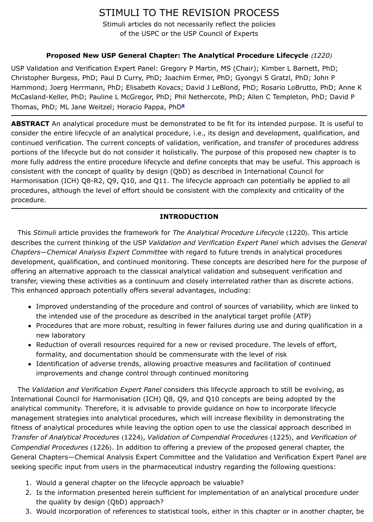**ABSTRACT** An analytical procedure must be demonstrated to be fit for its intended purpose. It is useful to consider the entire lifecycle of an analytical procedure, i.e., its design and development, q continued verification. The current concepts of validation, verification, and transfer of prod portions of the lifecycle but do not consider it holistically. The purpose of this proposed ne more fully address the entire procedure lifecycle and define concepts that may be useful. consistent with the concept of quality by design (QbD) as described in International Cound Harmonisation (ICH) Q8-R2, Q9, Q10, and Q11. The lifecycle approach can potentially be procedures, although the level of effort should be consistent with the complexity and critic procedure.

# **INTRODUCTION**

This *Stimuli* article provides the framework for *Th[e](http://www.usppf.com/pf/pub/data/v431/GEN_STIMULI_431_s201784.html#GEN_STIMULI_431_s201784-fna) Analytical Procedure Lifecycle* 〈1220〉. This article describes the current thinking of the USP *Validation and Verification Expert Panel* which advised the *General Chapters—Chemical Analysis Expert Committee* with regard to future trends in analytical procedures development, qualification, and continued monitoring. These concepts are described here offering an alternative approach to the classical analytical validation and subsequent verifi transfer, viewing these activities as a continuum and closely interrelated rather than as dis This enhanced approach potentially offers several advantages, including:

- Improved understanding of the procedure and control of sources of variability, whi the intended use of the procedure as described in the analytical target profile (ATP)
- Procedures that are more robust, resulting in fewer failures during use and during new laboratory
- Reduction of overall resources required for a new or revised procedure. The levels formality, and documentation should be commensurate with the level of risk
- Identification of adverse trends, allowing proactive measures and facilitation of con improvements and change control through continued monitoring

The Validation and Verification Expert Panel considers this lifecycle approach to still be  $\epsilon$ International Council for Harmonisation (ICH) Q8, Q9, and Q10 concepts are being adopte analytical community. Therefore, it is advisable to provide guidance on how to incorporate management strategies into analytical procedures, which will increase flexibility in demonstration fitness of analytical procedures while leaving the option open to use the classical approach *Transfer of Analytical Procedures*  $\langle 1224 \rangle$ , *Validation of Compendial Procedures*  $\langle 1225 \rangle$ , and *Compendial Procedures* (1226). In addition to offering a preview of the proposed general of General Chapters—Chemical Analysis Expert Committee and the Validation and Verification seeking specific input from users in the pharmaceutical industry regarding the following questions:

- 1. Would a general chapter on the lifecycle approach be valuable?
- 2. Is the information presented herein sufficient for implementation of an analytical procedure under the quality by design (QbD) approach?
- 3. Would incorporation of references to statistical tools, either in this chapter or in an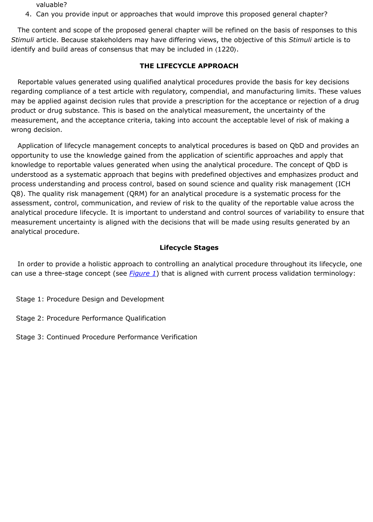wrong decision.

Application of lifecycle management concepts to analytical procedures is based on QbD opportunity to use the knowledge gained from the application of scientific approaches and knowledge to reportable values generated when using the analytical procedure. The conce understood as a systematic approach that begins with predefined objectives and emphasiz process understanding and process control, based on sound science and quality risk mana Q8). The quality risk management (QRM) for an analytical procedure is a systematic proce assessment, control, communication, and review of risk to the quality of the reportable value analytical procedure lifecycle. It is important to understand and control sources of variabil measurement uncertainty is aligned with the decisions that will be made using results generated by an analytical procedure.

### **Lifecycle Stages**

In order to provide a holistic approach to controlling an analytical procedure throughout can use a three-stage concept (see *Figure 1*) that is aligned with current process validatio

- Stage 1: Procedure Design and Development
- Stage 2: Procedure Performance Qualification
- Stage 3: Continued Procedure Performance Verification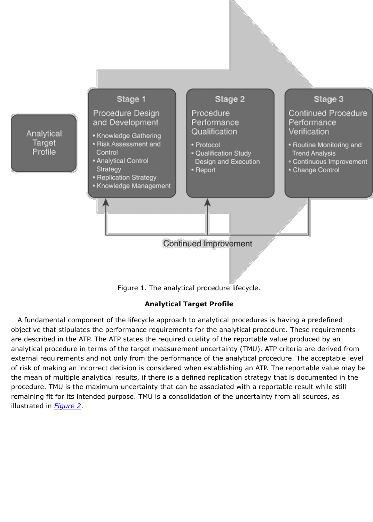

Figure 1. The analytical procedure lifecycle.

## **Analytical Target Profile**

A fundamental component of the lifecycle approach to analytical procedures is having a objective that stipulates the performance requirements for the analytical procedure. These are described in the ATP. The ATP states the required quality of the reportable value produ analytical procedure in terms of the target measurement uncertainty (TMU). ATP criteria a external requirements and not only from the performance of the analytical procedure. The of risk of making an incorrect decision is considered when establishing an ATP. The reporta the mean of multiple analytical results, if there is a defined replication strategy that is documented in the procedure. TMU is the maximum uncertainty that can be associated with a reportable resu remaining fit for its intended purpose. TMU is a consolidation of the uncertainty from all so illustrated in *Figure 2*.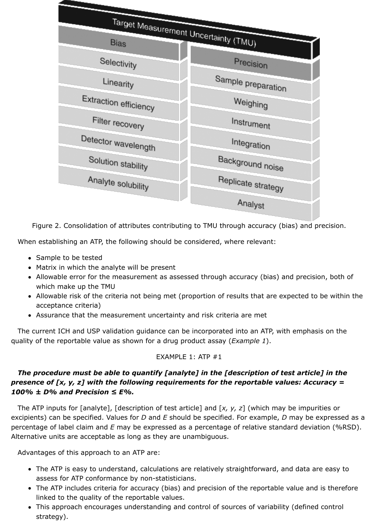

Figure 2. Consolidation of attributes contributing to TMU through accuracy (bias) and

When establishing an ATP, the following should be considered, where relevant:

- Sample to be tested
- Matrix in which the analyte will be present
- Allowable error for the measurement as assessed through accuracy (bias) and pre which make up the TMU
- Allowable risk of the criteria not being met (proportion of results that are expected acceptance criteria)
- Assurance that the measurement uncertainty and risk criteria are met

The current ICH and USP validation guidance can be incorporated into an ATP, with emp quality of the reportable value as shown for a drug product assay (*Example 1*).

## EXAMPLE 1: ATP #1

# The procedure must be able to quantify [analyte] in the [description of test art *presence of [x, y, z] with the following requirements for the reportable values: A 100% ± D% and Precision ≤ E%.*

The ATP inputs for [analyte], [description of test article] and [x, y, z] (which may be im excipients) can be specified. Values for *D* and *E* should be specified. For example, *D* may b percentage of label claim and *E* may be expressed as a percentage of relative standard de Alternative units are acceptable as long as they are unambiguous.

Advantages of this approach to an ATP are:

- The ATP is easy to understand, calculations are relatively straightforward, and data assess for ATP conformance by non-statisticians.
- The ATP includes criteria for accuracy (bias) and precision of the reportable value and is the linked to the quality of the reportable values.
- This approach encourages understanding and control of sources of variability (defi strategy).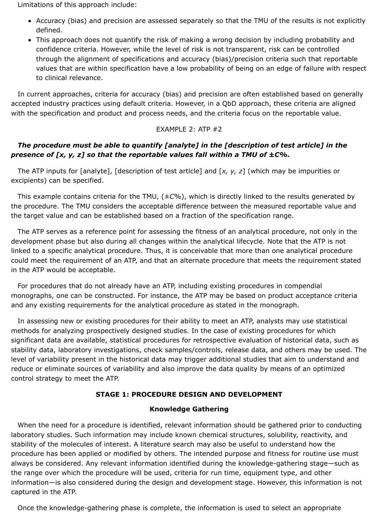Limitations of this approach include:

- Accuracy (bias) and precision are assessed separately so that the TMU of the results is not explicitly defined.
- This approach does not quantify the risk of making a wrong decision by including probability and confidence criteria. However, while the level of risk is not transparent, risk can be controlled through the alignment of specifications and accuracy (bias)/precision criteria such that reportable values that are within specification have a low probability of being on an edge of failure with respect to clinical relevance.

In current approaches, criteria for accuracy (bias) and precision are often established based on generally accepted industry practices using default criteria. However, in a QbD approach, these criteria are aligned with the specification and product and process needs, and the criteria focus on the reportable value.

## EXAMPLE 2: ATP #2

## *The procedure must be able to quantify [analyte] in the [description of test article] in the presence of [x, y, z] so that the reportable values fall within a TMU of ±C%.*

The ATP inputs for [analyte], [description of test article] and [*x, y, z*] (which may be impurities or excipients) can be specified.

This example contains criteria for the TMU, (±*C*%), which is directly linked to the results generated by the procedure. The TMU considers the acceptable difference between the measured reportable value and the target value and can be established based on a fraction of the specification range.

The ATP serves as a reference point for assessing the fitness of an analytical procedure, not only in the development phase but also during all changes within the analytical lifecycle. Note that the ATP is not linked to a specific analytical procedure. Thus, it is conceivable that more than one analytical procedure could meet the requirement of an ATP, and that an alternate procedure that meets the requirement stated in the ATP would be acceptable.

For procedures that do not already have an ATP, including existing procedures in compendial monographs, one can be constructed. For instance, the ATP may be based on product acceptance criteria and any existing requirements for the analytical procedure as stated in the monograph.

In assessing new or existing procedures for their ability to meet an ATP, analysts may use statistical methods for analyzing prospectively designed studies. In the case of existing procedures for which significant data are available, statistical procedures for retrospective evaluation of historical data, such as stability data, laboratory investigations, check samples/controls, release data, and others may be used. The level of variability present in the historical data may trigger additional studies that aim to understand and reduce or eliminate sources of variability and also improve the data quality by means of an optimized control strategy to meet the ATP.

### **STAGE 1: PROCEDURE DESIGN AND DEVELOPMENT**

#### **Knowledge Gathering**

When the need for a procedure is identified, relevant information should be gathered prior to conducting laboratory studies. Such information may include known chemical structures, solubility, reactivity, and stability of the molecules of interest. A literature search may also be useful to understand how the procedure has been applied or modified by others. The intended purpose and fitness for routine use must always be considered. Any relevant information identified during the knowledge-gathering stage—such as the range over which the procedure will be used, criteria for run time, equipment type, and other information—is also considered during the design and development stage. However, this information is not captured in the ATP.

Once the knowledge-gathering phase is complete, the information is used to select an appropriate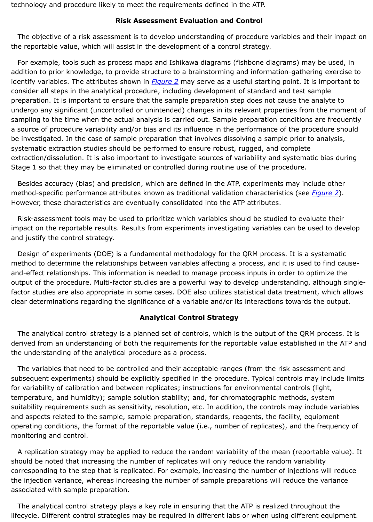a source of procedure variability and/or bias and its influence in the performance of the pr be investigated. In the case of sample preparation that involves dissolving a sample prior systematic extraction studies should be performed to ensure robust, rugged, and complet extraction/dissolution. It is also important to investigate sources of variability and system Stage 1 so that they may be eliminated or controlled during routine use of the procedure.

Besides accuracy (bias) and precision, which are defined in the ATP, experiments may in method-specific performance attributes known as traditional validation characteristics (see However, these characteristics are eventu[ally conso](http://www.usppf.com/pf/pub/data/v431/GEN_STIMULI_431_s201784.html#GEN_STIMULI_431_s201784-fig1)lidated into the ATP attributes.

Risk-assessment tools may be used to prioritize which variables should be studied to evaluate impact on the reportable results. Results from experiments investigating variables can be and justify the control strategy.

Design of experiments (DOE) is a fundamental methodology for the QRM process. It is a method to determine the relationships between variables affecting a process, and it is use and-effect relationships. This information is needed to manage process inputs in order to output of the procedure. Multi-factor studies are a powerful way to develop understanding factor studies are also appropriate in some cases. DOE also utilizes statistical data treatm clear determinations regarding the significance of a variable and/or its interactions toward

## **Analytical Control Strategy**

The analytical control strategy is a planned set of controls, which is the output of the QF derived from an understanding of both the requirements for the reportable value established in the ATP and and the understanding of the analytical procedure as a process.

The variables that need to be controlled and their acceptable ranges (from the risk asse subsequent experiments) should be explicitly specified in the procedure. Typical controls r for variability of calibration and between replicates; instructions for environmental controls temperature, and humidity); sample solution stability; and, for chromatographic methods suitability requirements such as sensitivity, resolution, etc. In addition, the controls may in and aspects related to the sample, sample preparation, standards, reagents, the facility, e operating conditions, the format of the reportable value (i.e., number of replicates), and t monitoring and control.

A replication strategy may be applied to reduce the random variability of the mean (report should be noted that increasing the number of replicates will only reduce the random varia corresponding to the step that is replicated. For example, increasing the number of injections the injection variance, whereas increasing the number of sample preparations will reduce associated with sample preparation.

The analytical control strategy plays a key role in ensuring that the ATP is realized throu lifecycle. Different control strategies may be required in different labs or when using differ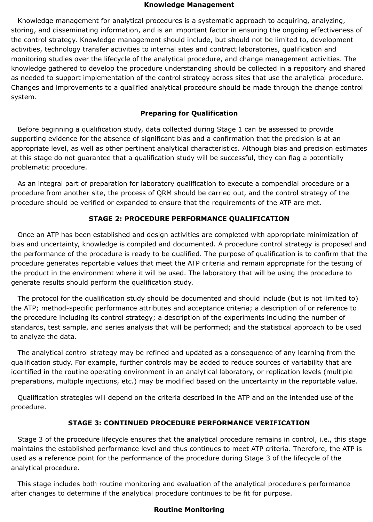### **Knowledge Management**

Knowledge management for analytical procedures is a systematic approach to acquiring, analyzing, storing, and disseminating information, and is an important factor in ensuring the ongoing effectiveness of the control strategy. Knowledge management should include, but should not be limited to, development activities, technology transfer activities to internal sites and contract laboratories, qualification and monitoring studies over the lifecycle of the analytical procedure, and change management activities. The knowledge gathered to develop the procedure understanding should be collected in a repository and shared as needed to support implementation of the control strategy across sites that use the analytical procedure. Changes and improvements to a qualified analytical procedure should be made through the change control system.

## **Preparing for Qualification**

Before beginning a qualification study, data collected during Stage 1 can be assessed to provide supporting evidence for the absence of significant bias and a confirmation that the precision is at an appropriate level, as well as other pertinent analytical characteristics. Although bias and precision estimates at this stage do not guarantee that a qualification study will be successful, they can flag a potentially problematic procedure.

As an integral part of preparation for laboratory qualification to execute a compendial procedure or a procedure from another site, the process of QRM should be carried out, and the control strategy of the procedure should be verified or expanded to ensure that the requirements of the ATP are met.

## **STAGE 2: PROCEDURE PERFORMANCE QUALIFICATION**

Once an ATP has been established and design activities are completed with appropriate minimization of bias and uncertainty, knowledge is compiled and documented. A procedure control strategy is proposed and the performance of the procedure is ready to be qualified. The purpose of qualification is to confirm that the procedure generates reportable values that meet the ATP criteria and remain appropriate for the testing of the product in the environment where it will be used. The laboratory that will be using the procedure to generate results should perform the qualification study.

The protocol for the qualification study should be documented and should include (but is not limited to) the ATP; method-specific performance attributes and acceptance criteria; a description of or reference to the procedure including its control strategy; a description of the experiments including the number of standards, test sample, and series analysis that will be performed; and the statistical approach to be used to analyze the data.

The analytical control strategy may be refined and updated as a consequence of any learning from the qualification study. For example, further controls may be added to reduce sources of variability that are identified in the routine operating environment in an analytical laboratory, or replication levels (multiple preparations, multiple injections, etc.) may be modified based on the uncertainty in the reportable value.

Qualification strategies will depend on the criteria described in the ATP and on the intended use of the procedure.

### **STAGE 3: CONTINUED PROCEDURE PERFORMANCE VERIFICATION**

Stage 3 of the procedure lifecycle ensures that the analytical procedure remains in control, i.e., this stage maintains the established performance level and thus continues to meet ATP criteria. Therefore, the ATP is used as a reference point for the performance of the procedure during Stage 3 of the lifecycle of the analytical procedure.

This stage includes both routine monitoring and evaluation of the analytical procedure's performance after changes to determine if the analytical procedure continues to be fit for purpose.

### **Routine Monitoring**